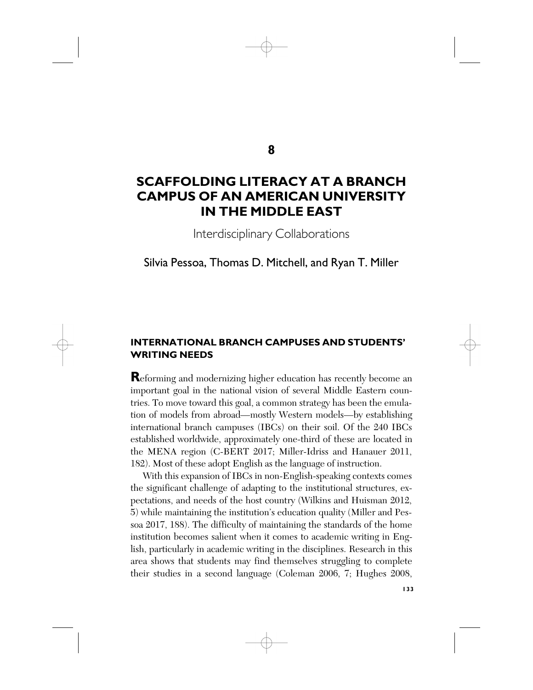# **8**

# **SCAFFOLDING LITERACY AT A BRANCH CAMPUS OF AN AMERICAN UNIVERSITY IN THE MIDDLE EAST**

Interdisciplinary Collaborations

# Silvia Pessoa, Thomas D. Mitchell, and Ryan T. Miller

## **INTERNATIONAL BRANCH CAMPUSES AND STUDENTS' WRITING NEEDS**

**R**eforming and modernizing higher education has recently become an important goal in the national vision of several Middle Eastern countries. To move toward this goal, a common strategy has been the emulation of models from abroad—mostly Western models—by establishing international branch campuses (IBCs) on their soil. Of the 240 IBCs established worldwide, approximately one-third of these are located in the MENA region (C-BERT 2017; Miller-Idriss and Hanauer 2011, 182). Most of these adopt English as the language of instruction.

With this expansion of IBCs in non-English-speaking contexts comes the significant challenge of adapting to the institutional structures, expectations, and needs of the host country (Wilkins and Huisman 2012, 5) while maintaining the institution's education quality (Miller and Pessoa 2017, 188). The difficulty of maintaining the standards of the home institution becomes salient when it comes to academic writing in English, particularly in academic writing in the disciplines. Research in this area shows that students may find themselves struggling to complete their studies in a second language (Coleman 2006, 7; Hughes 2008,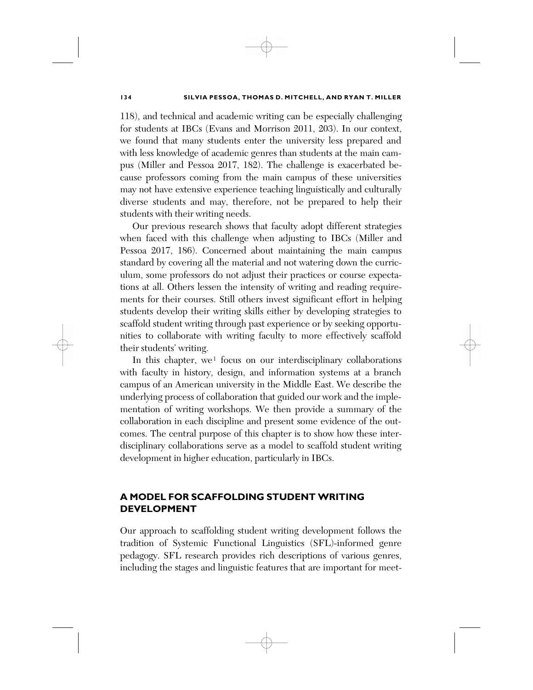118), and technical and academic writing can be especially challenging for students at IBCs (Evans and Morrison 2011, 203). In our context, we found that many students enter the university less prepared and with less knowledge of academic genres than students at the main campus (Miller and Pessoa 2017, 182). The challenge is exacerbated because professors coming from the main campus of these universities may not have extensive experience teaching linguistically and culturally diverse students and may, therefore, not be prepared to help their students with their writing needs.

Our previous research shows that faculty adopt different strategies when faced with this challenge when adjusting to IBCs (Miller and Pessoa 2017, 186). Concerned about maintaining the main campus standard by covering all the material and not watering down the curriculum, some professors do not adjust their practices or course expectations at all. Others lessen the intensity of writing and reading requirements for their courses. Still others invest significant effort in helping students develop their writing skills either by developing strategies to scaffold student writing through past experience or by seeking opportunities to collaborate with writing faculty to more effectively scaffold their students' writing.

In this chapter, we<sup>[1](#page-14-0)</sup> focus on our interdisciplinary collaborations with faculty in history, design, and information systems at a branch campus of an American university in the Middle East. We describe the underlying process of collaboration that guided our work and the implementation of writing workshops. We then provide a summary of the collaboration in each discipline and present some evidence of the outcomes. The central purpose of this chapter is to show how these interdisciplinary collaborations serve as a model to scaffold student writing development in higher education, particularly in IBCs.

# **A MODEL FOR SCAFFOLDING STUDENT WRITING DEVELOPMENT**

Our approach to scaffolding student writing development follows the tradition of Systemic Functional Linguistics (SFL)-informed genre pedagogy. SFL research provides rich descriptions of various genres, including the stages and linguistic features that are important for meet-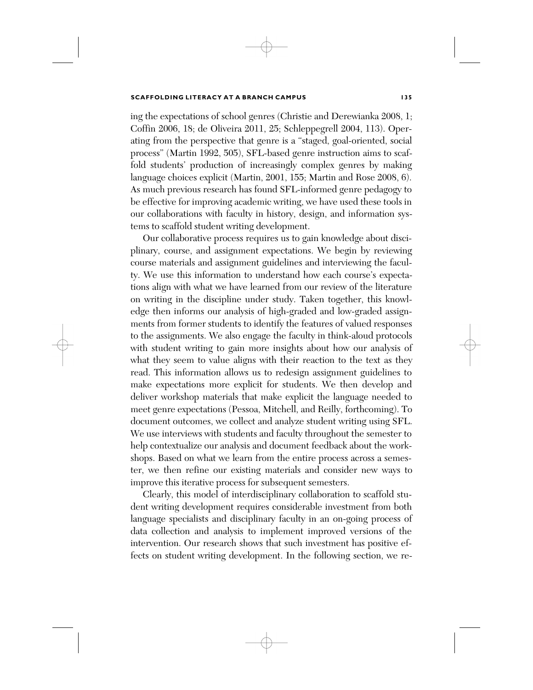ing the expectations of school genres (Christie and Derewianka 2008, 1; Coffin 2006, 18; de Oliveira 2011, 25; Schleppegrell 2004, 113). Operating from the perspective that genre is a "staged, goal-oriented, social process" (Martin 1992, 505), SFL-based genre instruction aims to scaffold students' production of increasingly complex genres by making language choices explicit (Martin, 2001, 155; Martin and Rose 2008, 6). As much previous research has found SFL-informed genre pedagogy to be effective for improving academic writing, we have used these tools in our collaborations with faculty in history, design, and information systems to scaffold student writing development.

Our collaborative process requires us to gain knowledge about disciplinary, course, and assignment expectations. We begin by reviewing course materials and assignment guidelines and interviewing the faculty. We use this information to understand how each course's expectations align with what we have learned from our review of the literature on writing in the discipline under study. Taken together, this knowledge then informs our analysis of high-graded and low-graded assignments from former students to identify the features of valued responses to the assignments. We also engage the faculty in think-aloud protocols with student writing to gain more insights about how our analysis of what they seem to value aligns with their reaction to the text as they read. This information allows us to redesign assignment guidelines to make expectations more explicit for students. We then develop and deliver workshop materials that make explicit the language needed to meet genre expectations (Pessoa, Mitchell, and Reilly, forthcoming). To document outcomes, we collect and analyze student writing using SFL. We use interviews with students and faculty throughout the semester to help contextualize our analysis and document feedback about the workshops. Based on what we learn from the entire process across a semester, we then refine our existing materials and consider new ways to improve this iterative process for subsequent semesters.

Clearly, this model of interdisciplinary collaboration to scaffold student writing development requires considerable investment from both language specialists and disciplinary faculty in an on-going process of data collection and analysis to implement improved versions of the intervention. Our research shows that such investment has positive effects on student writing development. In the following section, we re-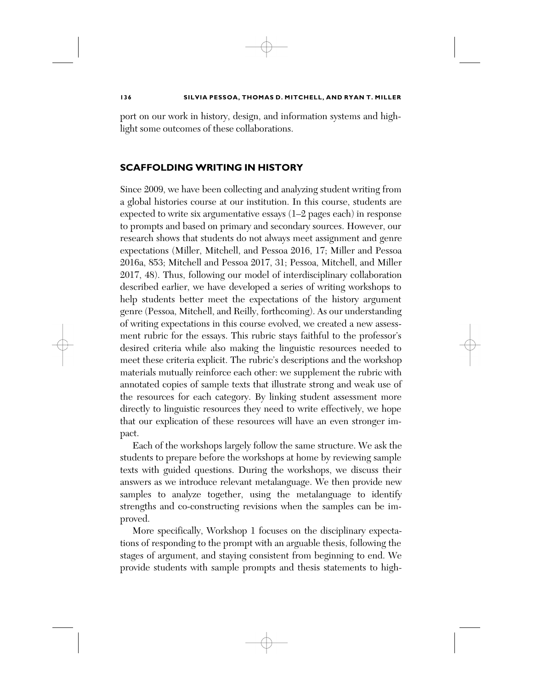port on our work in history, design, and information systems and highlight some outcomes of these collaborations.

### **SCAFFOLDING WRITING IN HISTORY**

Since 2009, we have been collecting and analyzing student writing from a global histories course at our institution. In this course, students are expected to write six argumentative essays (1–2 pages each) in response to prompts and based on primary and secondary sources. However, our research shows that students do not always meet assignment and genre expectations (Miller, Mitchell, and Pessoa 2016, 17; Miller and Pessoa 2016a, 853; Mitchell and Pessoa 2017, 31; Pessoa, Mitchell, and Miller 2017, 48). Thus, following our model of interdisciplinary collaboration described earlier, we have developed a series of writing workshops to help students better meet the expectations of the history argument genre (Pessoa, Mitchell, and Reilly, forthcoming). As our understanding of writing expectations in this course evolved, we created a new assessment rubric for the essays. This rubric stays faithful to the professor's desired criteria while also making the linguistic resources needed to meet these criteria explicit. The rubric's descriptions and the workshop materials mutually reinforce each other: we supplement the rubric with annotated copies of sample texts that illustrate strong and weak use of the resources for each category. By linking student assessment more directly to linguistic resources they need to write effectively, we hope that our explication of these resources will have an even stronger impact.

Each of the workshops largely follow the same structure. We ask the students to prepare before the workshops at home by reviewing sample texts with guided questions. During the workshops, we discuss their answers as we introduce relevant metalanguage. We then provide new samples to analyze together, using the metalanguage to identify strengths and co-constructing revisions when the samples can be improved.

More specifically, Workshop 1 focuses on the disciplinary expectations of responding to the prompt with an arguable thesis, following the stages of argument, and staying consistent from beginning to end. We provide students with sample prompts and thesis statements to high-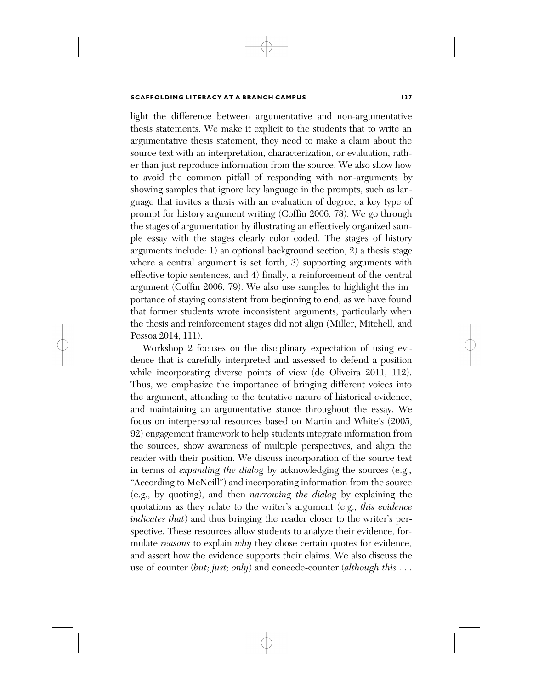light the difference between argumentative and non-argumentative thesis statements. We make it explicit to the students that to write an argumentative thesis statement, they need to make a claim about the source text with an interpretation, characterization, or evaluation, rather than just reproduce information from the source. We also show how to avoid the common pitfall of responding with non-arguments by showing samples that ignore key language in the prompts, such as language that invites a thesis with an evaluation of degree, a key type of prompt for history argument writing (Coffin 2006, 78). We go through the stages of argumentation by illustrating an effectively organized sample essay with the stages clearly color coded. The stages of history arguments include: 1) an optional background section, 2) a thesis stage where a central argument is set forth, 3) supporting arguments with effective topic sentences, and 4) finally, a reinforcement of the central argument (Coffin 2006, 79). We also use samples to highlight the importance of staying consistent from beginning to end, as we have found that former students wrote inconsistent arguments, particularly when the thesis and reinforcement stages did not align (Miller, Mitchell, and Pessoa 2014, 111).

Workshop 2 focuses on the disciplinary expectation of using evidence that is carefully interpreted and assessed to defend a position while incorporating diverse points of view (de Oliveira 2011, 112). Thus, we emphasize the importance of bringing different voices into the argument, attending to the tentative nature of historical evidence, and maintaining an argumentative stance throughout the essay. We focus on interpersonal resources based on Martin and White's (2005, 92) engagement framework to help students integrate information from the sources, show awareness of multiple perspectives, and align the reader with their position. We discuss incorporation of the source text in terms of *expanding the dialog* by acknowledging the sources (e.g., "According to McNeill") and incorporating information from the source (e.g., by quoting), and then *narrowing the dialog* by explaining the quotations as they relate to the writer's argument (e.g., *this evidence indicates that*) and thus bringing the reader closer to the writer's perspective. These resources allow students to analyze their evidence, formulate *reasons* to explain *why* they chose certain quotes for evidence, and assert how the evidence supports their claims. We also discuss the use of counter (*but; just; only*) and concede-counter (*although this . . .*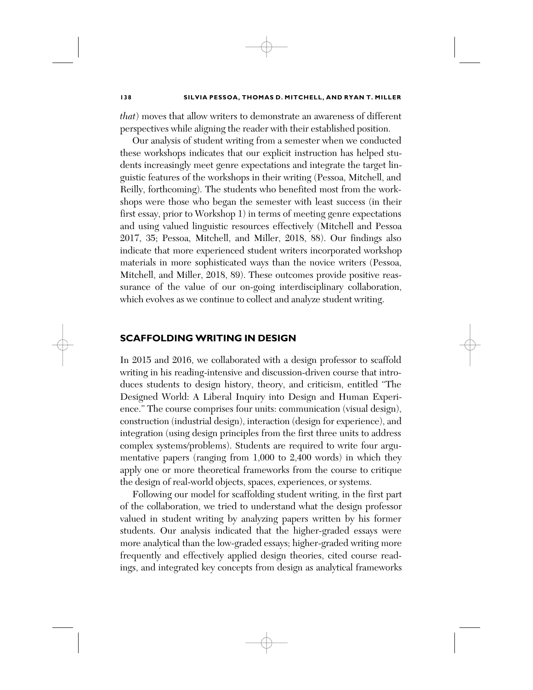*that*) moves that allow writers to demonstrate an awareness of different perspectives while aligning the reader with their established position.

Our analysis of student writing from a semester when we conducted these workshops indicates that our explicit instruction has helped students increasingly meet genre expectations and integrate the target linguistic features of the workshops in their writing (Pessoa, Mitchell, and Reilly, forthcoming). The students who benefited most from the workshops were those who began the semester with least success (in their first essay, prior to Workshop 1) in terms of meeting genre expectations and using valued linguistic resources effectively (Mitchell and Pessoa 2017, 35; Pessoa, Mitchell, and Miller, 2018, 88). Our findings also indicate that more experienced student writers incorporated workshop materials in more sophisticated ways than the novice writers (Pessoa, Mitchell, and Miller, 2018, 89). These outcomes provide positive reassurance of the value of our on-going interdisciplinary collaboration, which evolves as we continue to collect and analyze student writing.

### **SCAFFOLDING WRITING IN DESIGN**

In 2015 and 2016, we collaborated with a design professor to scaffold writing in his reading-intensive and discussion-driven course that introduces students to design history, theory, and criticism, entitled "The Designed World: A Liberal Inquiry into Design and Human Experience." The course comprises four units: communication (visual design), construction (industrial design), interaction (design for experience), and integration (using design principles from the first three units to address complex systems/problems). Students are required to write four argumentative papers (ranging from 1,000 to 2,400 words) in which they apply one or more theoretical frameworks from the course to critique the design of real-world objects, spaces, experiences, or systems.

Following our model for scaffolding student writing, in the first part of the collaboration, we tried to understand what the design professor valued in student writing by analyzing papers written by his former students. Our analysis indicated that the higher-graded essays were more analytical than the low-graded essays; higher-graded writing more frequently and effectively applied design theories, cited course readings, and integrated key concepts from design as analytical frameworks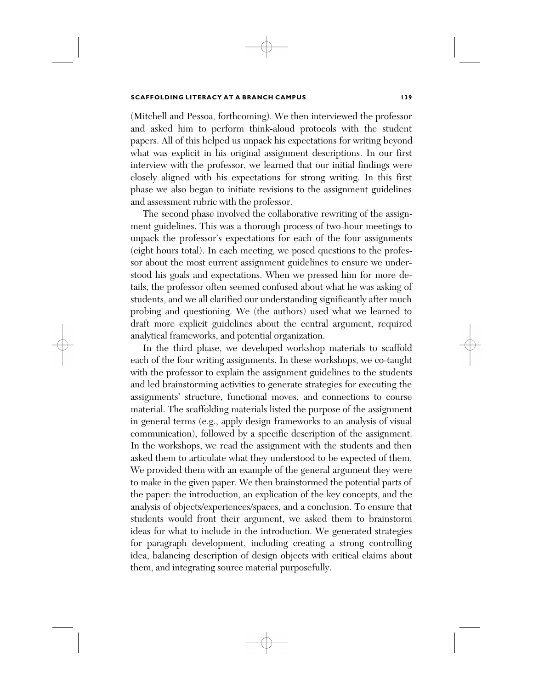(Mitchell and Pessoa, forthcoming). We then interviewed the professor and asked him to perform think-aloud protocols with the student papers. All of this helped us unpack his expectations for writing beyond what was explicit in his original assignment descriptions. In our first interview with the professor, we learned that our initial findings were closely aligned with his expectations for strong writing. In this first phase we also began to initiate revisions to the assignment guidelines and assessment rubric with the professor.

The second phase involved the collaborative rewriting of the assignment guidelines. This was a thorough process of two-hour meetings to unpack the professor's expectations for each of the four assignments (eight hours total). In each meeting, we posed questions to the professor about the most current assignment guidelines to ensure we understood his goals and expectations. When we pressed him for more details, the professor often seemed confused about what he was asking of students, and we all clarified our understanding significantly after much probing and questioning. We (the authors) used what we learned to draft more explicit guidelines about the central argument, required analytical frameworks, and potential organization.

In the third phase, we developed workshop materials to scaffold each of the four writing assignments. In these workshops, we co-taught with the professor to explain the assignment guidelines to the students and led brainstorming activities to generate strategies for executing the assignments' structure, functional moves, and connections to course material. The scaffolding materials listed the purpose of the assignment in general terms (e.g., apply design frameworks to an analysis of visual communication), followed by a specific description of the assignment. In the workshops, we read the assignment with the students and then asked them to articulate what they understood to be expected of them. We provided them with an example of the general argument they were to make in the given paper. We then brainstormed the potential parts of the paper: the introduction, an explication of the key concepts, and the analysis of objects/experiences/spaces, and a conclusion. To ensure that students would front their argument, we asked them to brainstorm ideas for what to include in the introduction. We generated strategies for paragraph development, including creating a strong controlling idea, balancing description of design objects with critical claims about them, and integrating source material purposefully.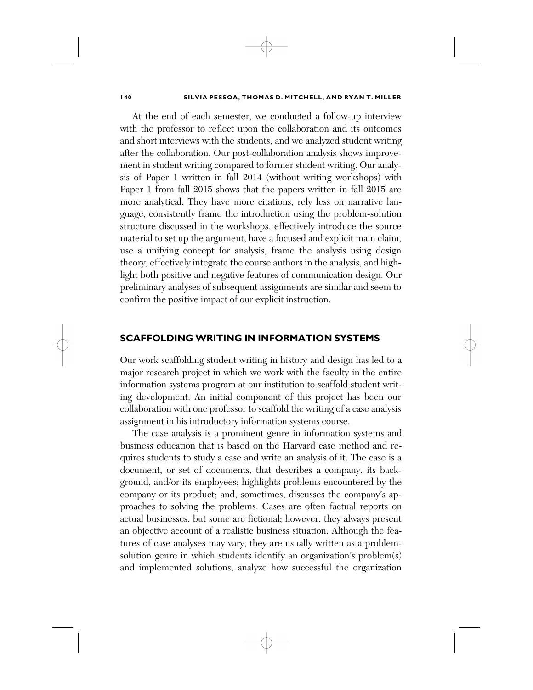At the end of each semester, we conducted a follow-up interview with the professor to reflect upon the collaboration and its outcomes and short interviews with the students, and we analyzed student writing after the collaboration. Our post-collaboration analysis shows improvement in student writing compared to former student writing. Our analysis of Paper 1 written in fall 2014 (without writing workshops) with Paper 1 from fall 2015 shows that the papers written in fall 2015 are more analytical. They have more citations, rely less on narrative language, consistently frame the introduction using the problem-solution structure discussed in the workshops, effectively introduce the source material to set up the argument, have a focused and explicit main claim, use a unifying concept for analysis, frame the analysis using design theory, effectively integrate the course authors in the analysis, and highlight both positive and negative features of communication design. Our preliminary analyses of subsequent assignments are similar and seem to confirm the positive impact of our explicit instruction.

### **SCAFFOLDING WRITING IN INFORMATION SYSTEMS**

Our work scaffolding student writing in history and design has led to a major research project in which we work with the faculty in the entire information systems program at our institution to scaffold student writing development. An initial component of this project has been our collaboration with one professor to scaffold the writing of a case analysis assignment in his introductory information systems course.

The case analysis is a prominent genre in information systems and business education that is based on the Harvard case method and requires students to study a case and write an analysis of it. The case is a document, or set of documents, that describes a company, its background, and/or its employees; highlights problems encountered by the company or its product; and, sometimes, discusses the company's approaches to solving the problems. Cases are often factual reports on actual businesses, but some are fictional; however, they always present an objective account of a realistic business situation. Although the features of case analyses may vary, they are usually written as a problemsolution genre in which students identify an organization's problem(s) and implemented solutions, analyze how successful the organization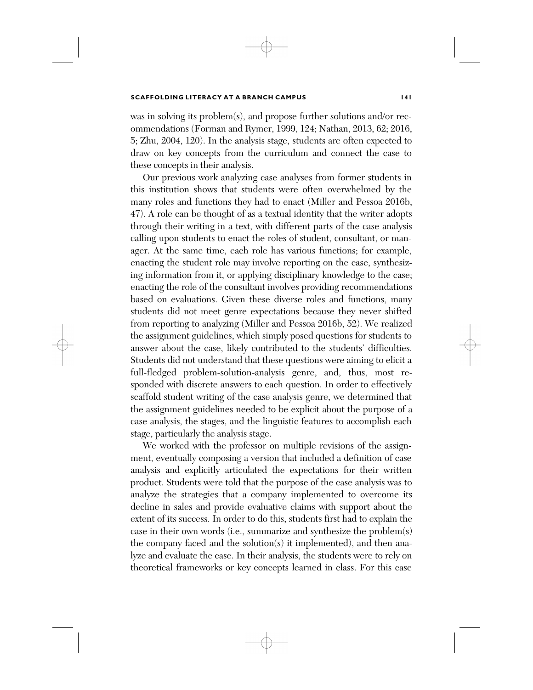was in solving its problem(s), and propose further solutions and/or recommendations (Forman and Rymer, 1999, 124; Nathan, 2013, 62; 2016, 5; Zhu, 2004, 120). In the analysis stage, students are often expected to draw on key concepts from the curriculum and connect the case to these concepts in their analysis.

Our previous work analyzing case analyses from former students in this institution shows that students were often overwhelmed by the many roles and functions they had to enact (Miller and Pessoa 2016b, 47). A role can be thought of as a textual identity that the writer adopts through their writing in a text, with different parts of the case analysis calling upon students to enact the roles of student, consultant, or manager. At the same time, each role has various functions; for example, enacting the student role may involve reporting on the case, synthesizing information from it, or applying disciplinary knowledge to the case; enacting the role of the consultant involves providing recommendations based on evaluations. Given these diverse roles and functions, many students did not meet genre expectations because they never shifted from reporting to analyzing (Miller and Pessoa 2016b, 52). We realized the assignment guidelines, which simply posed questions for students to answer about the case, likely contributed to the students' difficulties. Students did not understand that these questions were aiming to elicit a full-fledged problem-solution-analysis genre, and, thus, most responded with discrete answers to each question. In order to effectively scaffold student writing of the case analysis genre, we determined that the assignment guidelines needed to be explicit about the purpose of a case analysis, the stages, and the linguistic features to accomplish each stage, particularly the analysis stage.

We worked with the professor on multiple revisions of the assignment, eventually composing a version that included a definition of case analysis and explicitly articulated the expectations for their written product. Students were told that the purpose of the case analysis was to analyze the strategies that a company implemented to overcome its decline in sales and provide evaluative claims with support about the extent of its success. In order to do this, students first had to explain the case in their own words (i.e., summarize and synthesize the problem(s) the company faced and the solution(s) it implemented), and then analyze and evaluate the case. In their analysis, the students were to rely on theoretical frameworks or key concepts learned in class. For this case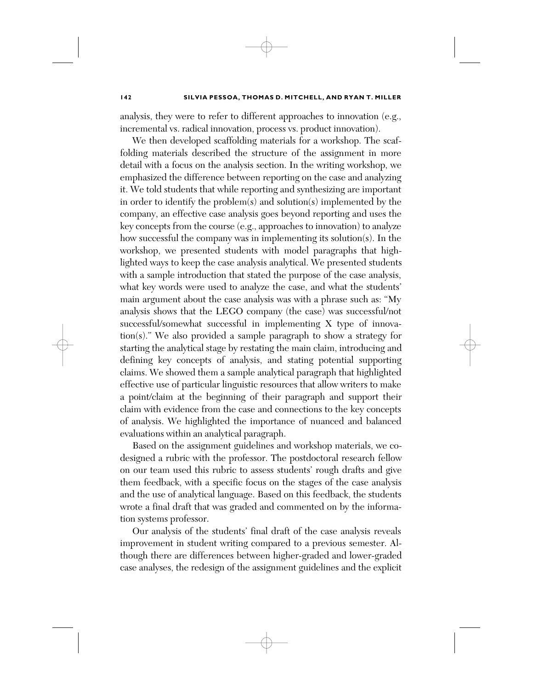analysis, they were to refer to different approaches to innovation (e.g., incremental vs. radical innovation, process vs. product innovation).

We then developed scaffolding materials for a workshop. The scaffolding materials described the structure of the assignment in more detail with a focus on the analysis section. In the writing workshop, we emphasized the difference between reporting on the case and analyzing it. We told students that while reporting and synthesizing are important in order to identify the problem(s) and solution(s) implemented by the company, an effective case analysis goes beyond reporting and uses the key concepts from the course (e.g., approaches to innovation) to analyze how successful the company was in implementing its solution(s). In the workshop, we presented students with model paragraphs that highlighted ways to keep the case analysis analytical. We presented students with a sample introduction that stated the purpose of the case analysis, what key words were used to analyze the case, and what the students' main argument about the case analysis was with a phrase such as: "My analysis shows that the LEGO company (the case) was successful/not successful/somewhat successful in implementing X type of innovation(s)." We also provided a sample paragraph to show a strategy for starting the analytical stage by restating the main claim, introducing and defining key concepts of analysis, and stating potential supporting claims. We showed them a sample analytical paragraph that highlighted effective use of particular linguistic resources that allow writers to make a point/claim at the beginning of their paragraph and support their claim with evidence from the case and connections to the key concepts of analysis. We highlighted the importance of nuanced and balanced evaluations within an analytical paragraph.

Based on the assignment guidelines and workshop materials, we codesigned a rubric with the professor. The postdoctoral research fellow on our team used this rubric to assess students' rough drafts and give them feedback, with a specific focus on the stages of the case analysis and the use of analytical language. Based on this feedback, the students wrote a final draft that was graded and commented on by the information systems professor.

Our analysis of the students' final draft of the case analysis reveals improvement in student writing compared to a previous semester. Although there are differences between higher-graded and lower-graded case analyses, the redesign of the assignment guidelines and the explicit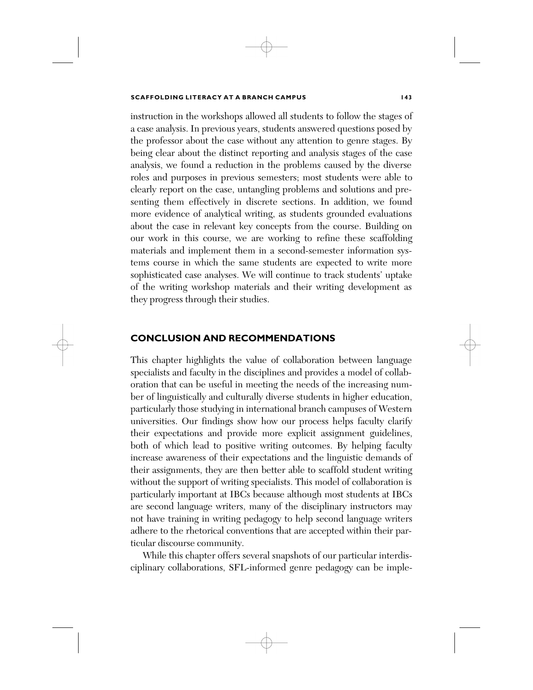instruction in the workshops allowed all students to follow the stages of a case analysis. In previous years, students answered questions posed by the professor about the case without any attention to genre stages. By being clear about the distinct reporting and analysis stages of the case analysis, we found a reduction in the problems caused by the diverse roles and purposes in previous semesters; most students were able to clearly report on the case, untangling problems and solutions and presenting them effectively in discrete sections. In addition, we found more evidence of analytical writing, as students grounded evaluations about the case in relevant key concepts from the course. Building on our work in this course, we are working to refine these scaffolding materials and implement them in a second-semester information systems course in which the same students are expected to write more sophisticated case analyses. We will continue to track students' uptake of the writing workshop materials and their writing development as they progress through their studies.

### **CONCLUSION AND RECOMMENDATIONS**

This chapter highlights the value of collaboration between language specialists and faculty in the disciplines and provides a model of collaboration that can be useful in meeting the needs of the increasing number of linguistically and culturally diverse students in higher education, particularly those studying in international branch campuses of Western universities. Our findings show how our process helps faculty clarify their expectations and provide more explicit assignment guidelines, both of which lead to positive writing outcomes. By helping faculty increase awareness of their expectations and the linguistic demands of their assignments, they are then better able to scaffold student writing without the support of writing specialists. This model of collaboration is particularly important at IBCs because although most students at IBCs are second language writers, many of the disciplinary instructors may not have training in writing pedagogy to help second language writers adhere to the rhetorical conventions that are accepted within their particular discourse community.

While this chapter offers several snapshots of our particular interdisciplinary collaborations, SFL-informed genre pedagogy can be imple-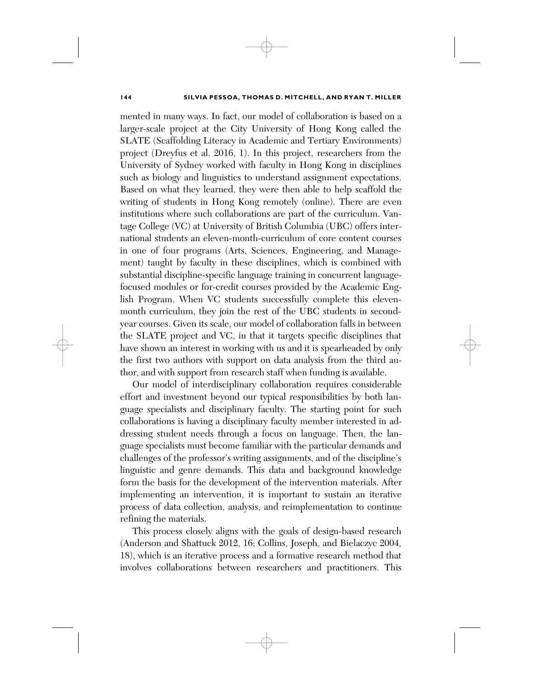mented in many ways. In fact, our model of collaboration is based on a larger-scale project at the City University of Hong Kong called the SLATE (Scaffolding Literacy in Academic and Tertiary Environments) project (Dreyfus et al. 2016, 1). In this project, researchers from the University of Sydney worked with faculty in Hong Kong in disciplines such as biology and linguistics to understand assignment expectations. Based on what they learned, they were then able to help scaffold the writing of students in Hong Kong remotely (online). There are even institutions where such collaborations are part of the curriculum. Vantage College (VC) at University of British Columbia (UBC) offers international students an eleven-month-curriculum of core content courses in one of four programs (Arts, Sciences, Engineering, and Management) taught by faculty in these disciplines, which is combined with substantial discipline-specific language training in concurrent languagefocused modules or for-credit courses provided by the Academic English Program. When VC students successfully complete this elevenmonth curriculum, they join the rest of the UBC students in secondyear courses. Given its scale, our model of collaboration falls in between the SLATE project and VC, in that it targets specific disciplines that have shown an interest in working with us and it is spearheaded by only the first two authors with support on data analysis from the third author, and with support from research staff when funding is available.

Our model of interdisciplinary collaboration requires considerable effort and investment beyond our typical responsibilities by both language specialists and disciplinary faculty. The starting point for such collaborations is having a disciplinary faculty member interested in addressing student needs through a focus on language. Then, the language specialists must become familiar with the particular demands and challenges of the professor's writing assignments, and of the discipline's linguistic and genre demands. This data and background knowledge form the basis for the development of the intervention materials. After implementing an intervention, it is important to sustain an iterative process of data collection, analysis, and reimplementation to continue refining the materials.

This process closely aligns with the goals of design-based research (Anderson and Shattuck 2012, 16; Collins, Joseph, and Bielaczyc 2004, 18), which is an iterative process and a formative research method that involves collaborations between researchers and practitioners. This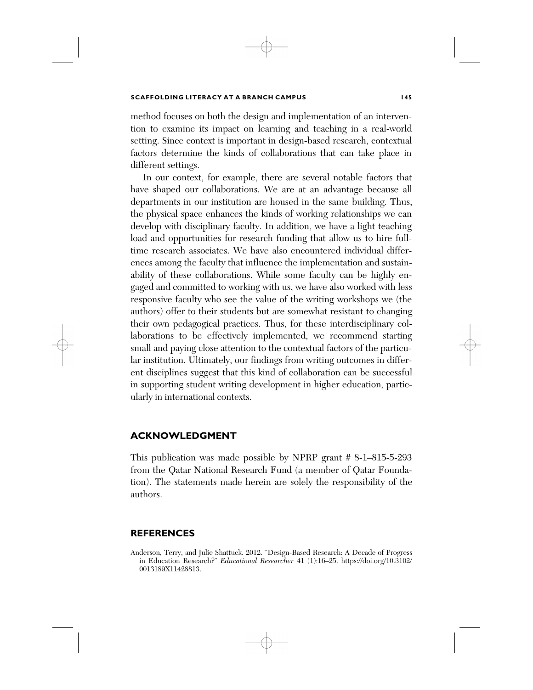method focuses on both the design and implementation of an intervention to examine its impact on learning and teaching in a real-world setting. Since context is important in design-based research, contextual factors determine the kinds of collaborations that can take place in different settings.

In our context, for example, there are several notable factors that have shaped our collaborations. We are at an advantage because all departments in our institution are housed in the same building. Thus, the physical space enhances the kinds of working relationships we can develop with disciplinary faculty. In addition, we have a light teaching load and opportunities for research funding that allow us to hire fulltime research associates. We have also encountered individual differences among the faculty that influence the implementation and sustainability of these collaborations. While some faculty can be highly engaged and committed to working with us, we have also worked with less responsive faculty who see the value of the writing workshops we (the authors) offer to their students but are somewhat resistant to changing their own pedagogical practices. Thus, for these interdisciplinary collaborations to be effectively implemented, we recommend starting small and paying close attention to the contextual factors of the particular institution. Ultimately, our findings from writing outcomes in different disciplines suggest that this kind of collaboration can be successful in supporting student writing development in higher education, particularly in international contexts.

### **ACKNOWLEDGMENT**

This publication was made possible by NPRP grant # 8-1–815-5-293 from the Qatar National Research Fund (a member of Qatar Foundation). The statements made herein are solely the responsibility of the authors.

### **REFERENCES**

Anderson, Terry, and Julie Shattuck. 2012. "Design-Based Research: A Decade of Progress in Education Research?" *Educational Researcher* 41 (1):16–25. https://doi.org/10.3102/ 0013189X11428813.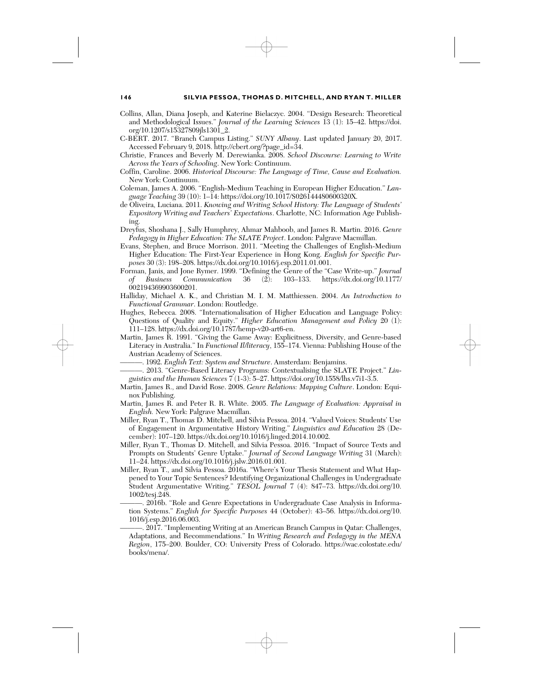- Collins, Allan, Diana Joseph, and Katerine Bielaczyc. 2004. "Design Research: Theoretical and Methodological Issues." *Journal of the Learning Sciences* 13 (1): 15–42. https://doi. org/10.1207/s15327809jls1301\_2.
- C-BERT. 2017. "Branch Campus Listing." *SUNY Albany*. Last updated January 20, 2017. Accessed February 9, 2018. http://cbert.org/?page\_id=34.
- Christie, Frances and Beverly M. Derewianka. 2008. *School Discourse: Learning to Write Across the Years of Schooling*. New York: Continuum.
- Coffin, Caroline. 2006. *Historical Discourse: The Language of Time, Cause and Evaluation.* New York: Continuum.
- Coleman, James A. 2006. "English-Medium Teaching in European Higher Education." *Language Teaching* 39 (10): 1–14: https://doi.org/10.1017/S026144480600320X.
- de Oliveira, Luciana. 2011. *Knowing and Writing School History: The Language of Students' Expository Writing and Teachers' Expectations*. Charlotte, NC: Information Age Publishing.
- Dreyfus, Shoshana J., Sally Humphrey, Ahmar Mahboob, and James R. Martin. 2016. *Genre Pedagogy in Higher Education: The SLATE Project*. London: Palgrave Macmillan.
- Evans, Stephen, and Bruce Morrison. 2011. "Meeting the Challenges of English-Medium Higher Education: The First-Year Experience in Hong Kong. *English for Specific Purposes* 30 (3): 198–208. https://dx.doi.org/10.1016/j.esp.2011.01.001.
- Forman, Janis, and Jone Rymer. 1999. "Defining the Genre of the "Case Write-up." *Journal of Business Communication* 36 (2): 103–133. https://dx.doi.org/10.1177/ 002194369903600201.
- Halliday, Michael A. K., and Christian M. I. M. Matthiessen. 2004. *An Introduction to Functional Grammar*. London: Routledge.
- Hughes, Rebecca. 2008. "Internationalisation of Higher Education and Language Policy: Questions of Quality and Equity." *Higher Education Management and Policy* 20 (1): 111–128. https://dx.doi.org/10.1787/hemp-v20-art6-en.
- Martin, James R. 1991. "Giving the Game Away: Explicitness, Diversity, and Genre-based Literacy in Australia." In *Functional Il/literacy*, 155–174. Vienna: Publishing House of the Austrian Academy of Sciences.
	- ———. 1992. *English Text: System and Structure*. Amsterdam: Benjamins.
- -. 2013. "Genre-Based Literacy Programs: Contextualising the SLATE Project." Lin*guistics and the Human Sciences* 7 (1-3): 5–27. https://doi.org/10.1558/lhs.v7i1-3.5.
- Martin, James R., and David Rose. 2008. *Genre Relations: Mapping Culture*. London: Equinox Publishing.
- Martin, James R. and Peter R. R. White. 2005. *The Language of Evaluation: Appraisal in English.* New York: Palgrave Macmillan.
- Miller, Ryan T., Thomas D. Mitchell, and Silvia Pessoa. 2014. "Valued Voices: Students' Use of Engagement in Argumentative History Writing." *Linguistics and Education* 28 (December): 107–120. https://dx.doi.org/10.1016/j.linged.2014.10.002.
- Miller, Ryan T., Thomas D. Mitchell, and Silvia Pessoa. 2016. "Impact of Source Texts and Prompts on Students' Genre Uptake." *Journal of Second Language Writing* 31 (March): 11–24. https://dx.doi.org/10.1016/j.jslw.2016.01.001.
- Miller, Ryan T., and Silvia Pessoa. 2016a. "Where's Your Thesis Statement and What Happened to Your Topic Sentences? Identifying Organizational Challenges in Undergraduate Student Argumentative Writing." *TESOL Journal* 7 (4): 847–73. https://dx.doi.org/10. 1002/tesj.248.
	- 2016b. "Role and Genre Expectations in Undergraduate Case Analysis in Information Systems." *English for Specific Purposes* 44 (October): 43–56. https://dx.doi.org/10. 1016/j.esp.2016.06.003.

2017. "Implementing Writing at an American Branch Campus in Qatar: Challenges, Adaptations, and Recommendations." In *Writing Research and Pedagogy in the MENA Region*, 175–200. Boulder, CO: University Press of Colorado. https://wac.colostate.edu/ books/mena/.